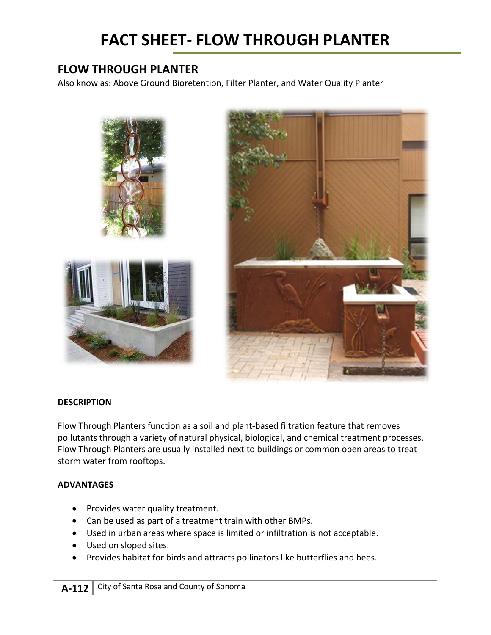# **FLOW THROUGH PLANTER**

Also know as: Above Ground Bioretention, Filter Planter, and Water Quality Planter



# **DESCRIPTION**

Flow Through Planters function as a soil and plant-based filtration feature that removes pollutants through a variety of natural physical, biological, and chemical treatment processes. Flow Through Planters are usually installed next to buildings or common open areas to treat storm water from rooftops.

# **ADVANTAGES**

- Provides water quality treatment.
- Can be used as part of a treatment train with other BMPs.
- Used in urban areas where space is limited or infiltration is not acceptable.
- Used on sloped sites.
- Provides habitat for birds and attracts pollinators like butterflies and bees.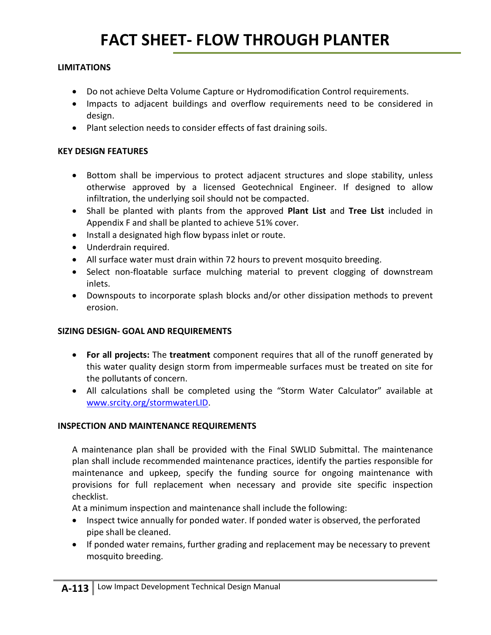#### **LIMITATIONS**

- Do not achieve Delta Volume Capture or Hydromodification Control requirements.
- Impacts to adjacent buildings and overflow requirements need to be considered in design.
- Plant selection needs to consider effects of fast draining soils.

#### **KEY DESIGN FEATURES**

- Bottom shall be impervious to protect adjacent structures and slope stability, unless otherwise approved by a licensed Geotechnical Engineer. If designed to allow infiltration, the underlying soil should not be compacted.
- Shall be planted with plants from the approved **Plant List** and **Tree List** included in Appendix F and shall be planted to achieve 51% cover.
- Install a designated high flow bypass inlet or route.
- Underdrain required.
- All surface water must drain within 72 hours to prevent mosquito breeding.
- Select non-floatable surface mulching material to prevent clogging of downstream inlets.
- Downspouts to incorporate splash blocks and/or other dissipation methods to prevent erosion.

# **SIZING DESIGN- GOAL AND REQUIREMENTS**

- **For all projects:** The **treatment** component requires that all of the runoff generated by this water quality design storm from impermeable surfaces must be treated on site for the pollutants of concern.
- All calculations shall be completed using the "Storm Water Calculator" available at [www.srcity.org/stormwaterLID.](http://www.srcity.org/stormwaterLID)

# **INSPECTION AND MAINTENANCE REQUIREMENTS**

A maintenance plan shall be provided with the Final SWLID Submittal. The maintenance plan shall include recommended maintenance practices, identify the parties responsible for maintenance and upkeep, specify the funding source for ongoing maintenance with provisions for full replacement when necessary and provide site specific inspection checklist.

At a minimum inspection and maintenance shall include the following:

- Inspect twice annually for ponded water. If ponded water is observed, the perforated pipe shall be cleaned.
- If ponded water remains, further grading and replacement may be necessary to prevent mosquito breeding.